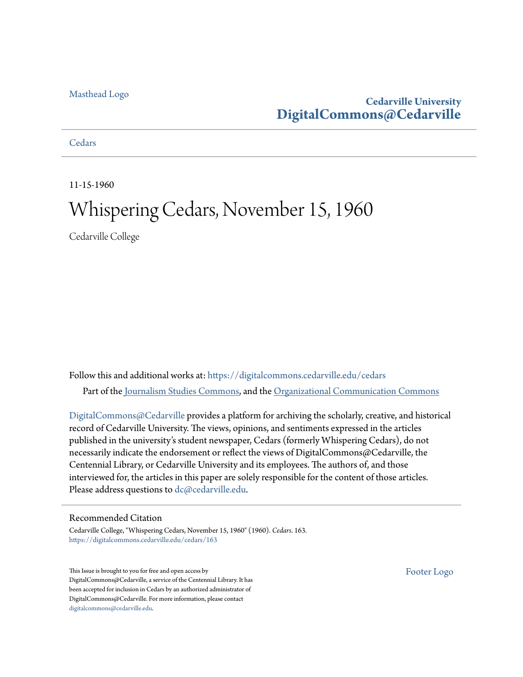#### [Masthead Logo](http://www.cedarville.edu/?utm_source=digitalcommons.cedarville.edu%2Fcedars%2F163&utm_medium=PDF&utm_campaign=PDFCoverPages)

# **Cedarville University [DigitalCommons@Cedarville](https://digitalcommons.cedarville.edu?utm_source=digitalcommons.cedarville.edu%2Fcedars%2F163&utm_medium=PDF&utm_campaign=PDFCoverPages)**

#### **[Cedars](https://digitalcommons.cedarville.edu/cedars?utm_source=digitalcommons.cedarville.edu%2Fcedars%2F163&utm_medium=PDF&utm_campaign=PDFCoverPages)**

11-15-1960

# Whispering Cedars, November 15, 1960

Cedarville College

Follow this and additional works at: [https://digitalcommons.cedarville.edu/cedars](https://digitalcommons.cedarville.edu/cedars?utm_source=digitalcommons.cedarville.edu%2Fcedars%2F163&utm_medium=PDF&utm_campaign=PDFCoverPages) Part of the [Journalism Studies Commons](http://network.bepress.com/hgg/discipline/333?utm_source=digitalcommons.cedarville.edu%2Fcedars%2F163&utm_medium=PDF&utm_campaign=PDFCoverPages), and the [Organizational Communication Commons](http://network.bepress.com/hgg/discipline/335?utm_source=digitalcommons.cedarville.edu%2Fcedars%2F163&utm_medium=PDF&utm_campaign=PDFCoverPages)

[DigitalCommons@Cedarville](http://digitalcommons.cedarville.edu/) provides a platform for archiving the scholarly, creative, and historical record of Cedarville University. The views, opinions, and sentiments expressed in the articles published in the university's student newspaper, Cedars (formerly Whispering Cedars), do not necessarily indicate the endorsement or reflect the views of DigitalCommons@Cedarville, the Centennial Library, or Cedarville University and its employees. The authors of, and those interviewed for, the articles in this paper are solely responsible for the content of those articles. Please address questions to [dc@cedarville.edu.](mailto:dc@cedarville.edu)

#### Recommended Citation

Cedarville College, "Whispering Cedars, November 15, 1960" (1960). *Cedars*. 163. [https://digitalcommons.cedarville.edu/cedars/163](https://digitalcommons.cedarville.edu/cedars/163?utm_source=digitalcommons.cedarville.edu%2Fcedars%2F163&utm_medium=PDF&utm_campaign=PDFCoverPages)

This Issue is brought to you for free and open access by DigitalCommons@Cedarville, a service of the Centennial Library. It has been accepted for inclusion in Cedars by an authorized administrator of DigitalCommons@Cedarville. For more information, please contact [digitalcommons@cedarville.edu](mailto:digitalcommons@cedarville.edu).

[Footer Logo](http://www.cedarville.edu/Academics/Library.aspx?utm_source=digitalcommons.cedarville.edu%2Fcedars%2F163&utm_medium=PDF&utm_campaign=PDFCoverPages)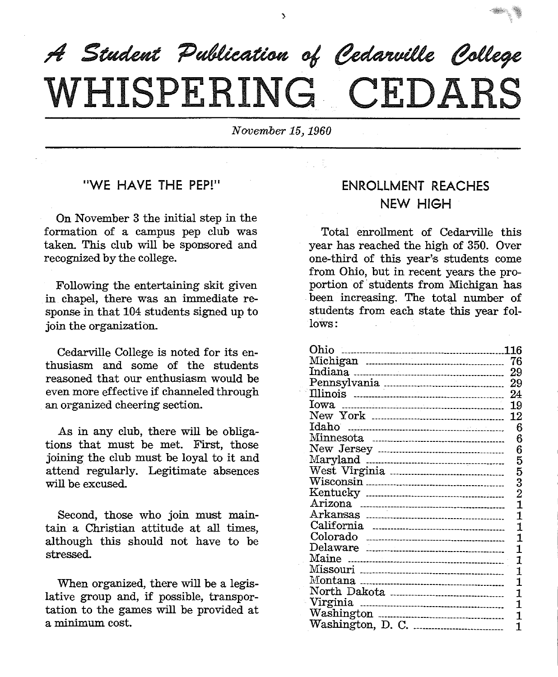

٨

 $November 15,1960$ 

## "WE HAVE THE PEP!"

On November 3 the initial step in the formation of <sup>a</sup>campus pep club was taken. This club will be sponsored and recognized by the college.

Following the entertaining skit given in chapel, there was an immediate response in that 104 students signed up to join the organization.

Cedarville College is noted for its enthusiasm and some of the students reasoned that our enthusiasm would be even more effective if channeled through an organized cheering section.

As in any club, there will be obligations that must be met. First, those joining the club must be loyal to it and attend regularly. Legitimate absences will be excused.

Second, those who join must maintain a Christian attitude at all times, although this should not have to be stressed.

When organized, there will be a legislative group and, if possible, transportation to the games will be provided at a minimum cost.

### ENROLLMENT REACHES NEW HIGH

Total enrollment of Cedarville this year has reached the high of 350. Over one-third of this year's students come from Ohio, but in recent years the proportion of students from Michigan has been increasing. The total number of students from each state this year follows:

| Ohio | 116 |
|------|-----|
|      |     |
|      | 29  |
|      |     |
|      | 24  |
|      | 19  |
|      | 12  |
|      | 6   |
|      | 6   |
|      | 6   |
|      | 5   |
|      | 5   |
|      | 3   |
|      | 2   |
|      | 1   |
|      | 1   |
|      | 1   |
|      | 1   |
|      | 1   |
|      | 1   |
|      | 1   |
|      | 1   |
|      | 1   |
|      | 1   |
|      | 1   |
|      | 1   |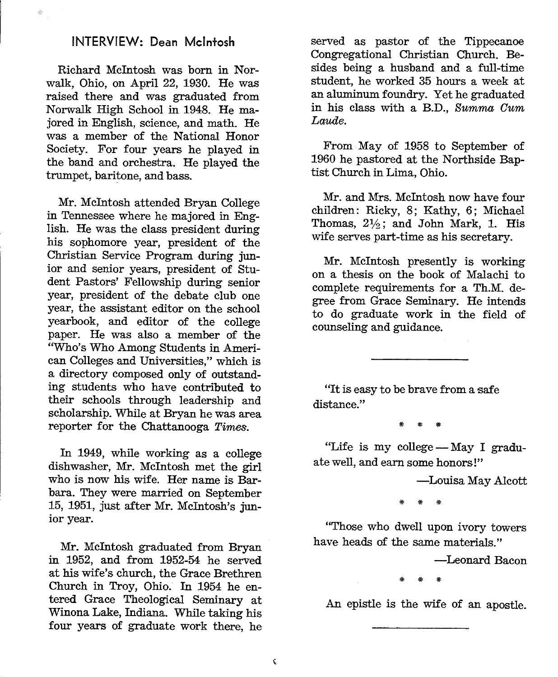#### INTERVIEW: Dean Mcintosh

Richard Mcintosh was born in Norwalk, Ohio, on April 22, 1930. He was raised there and was graduated from Norwalk High School in 1948. He majored in English, science, and math. He was a member of the National Honor Society. For four years he played in the band and orchestra. He played the trumpet, baritone, and bass.

Mr. Mcintosh attended Bryan College in Tennessee where he majored in English. He was the class president during his sophomore year, president of the Christian Service Program during junior and senior years, president of Student Pastors' Fellowship during senior year, president of the debate club one year, the assistant editor on the school yearbook, and editor of the college paper. He was also a member of the "Who's Who Among Students in American Colleges and Universities," which is a directory composed only of outstanding students who have contributed to their schools through leadership and scholarship. While at Bryan he was area reporter for the Chattanooga *Times.* 

In 1949, while working as a college dishwasher, Mr. McIntosh met the girl who is now his wife. Her name is Barbara. They were married on September 15, 1951, just after Mr. Mcintosh's junior year.

Mr. McIntosh graduated from Bryan in 1952, and from 1952-54 he served at his wife's church, the Grace Brethren Church in Troy, Ohio. In 1954 he entered Grace Theological Seminary at Winona Lake, Indiana. While taking his four years of graduate work there, he

 $\hat{\mathbf{C}}$ 

served as pastor of the Tippecanoe Congregational Christian Church. Besides being a husband and a full-time student, he worked 35 hours a week at an aluminum foundry. Yet he graduated in his class with a B.D., Summa Oum *Laude.* 

From May of 1958 to September of 1960 he pastored at the Northside Baptist Church in Lima, Ohio.

Mr. and Mrs. Mcintosh now have four children: Ricky, 8; Kathy, 6; Michael Thomas,  $2\frac{1}{2}$ ; and John Mark, 1. His wife serves part-time as his secretary.

Mr. McIntosh presently is working on a thesis on the book of Malachi to complete requirements for a Th.M. degree from Grace Seminary. He intends to do graduate work in the field of counseling and guidance.

"It is easy to be brave from a safe distance."

\* \* \*

"Life is my college - May I graduate well, and earn some honors!"

-Louisa May Alcott

\* \* \*

"Those who dwell upon ivory towers have heads of the same materials."

-Leonard Bacon

\* \* \*

An epistle is the wife of an apostle.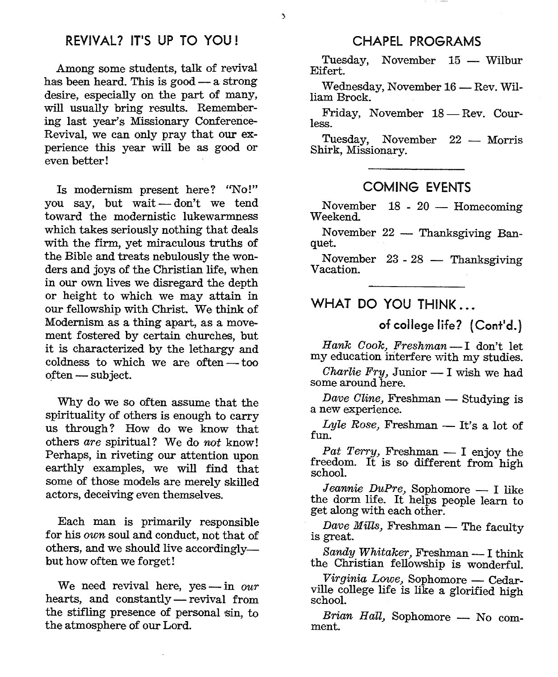Among some students, talk of revival has been heard. This is good - a strong desire, especially on the part of many, will usually bring results. Remembering last year's Missionary Conference-Revival, we can only pray that our experience this year will be as good or even better!

Is modernism present here? "No!" you say, but wait - don't we tend toward the modernistic lukewarmness which takes seriously nothing that deals with the firm, yet miraculous truths of the Bible and treats nebulously the wonders and joys of the Christian life, when in our own lives we disregard the depth or height to which we may attain in our fellowship with Christ. We think of Modernism as a thing apart, as a movement fostered by certain churches, but it is characterized by the lethargy and coldness to which we are often  $-$  too often - subject.

Why do we so often assume that the spirituality of others is enough to carry us through? How do we know that others *are* spiritual? We do *not* know! Perhaps, in riveting our attention upon earthly examples, we will find that some of those models are merely skilled actors, deceiving even themselves.

Each man is primarily responsible for his *own* soul and conduct, not that of others, and we should live accordinglybut how often we forget!

We need revival here, yes-in our hearts, and constantly-revival from the stifling presence of personal sin, to the atmosphere of our Lord.

#### CHAPEL PROGRAMS

Tuesday, November 15 - Wilbur Eifert.

Wednesday, November 16 - Rev. Wil-<br>liam Brock.

Friday, November 18 — Rev. Cour-<br>less.

Tuesday, November 22 - Morris<br>Shirk, Missionary.

#### COMING EVENTS

November 18 - 20 - Homecoming<br>Weekend.

November 22 - Thanksgiving Banquet.

November 23 - 28 - Thanksgiving<br>Vacation.

#### WHAT DO YOU THINK

of college life? (Cont'd.)

*Hank Gook, Freshman-I* don't let my education interfere with my studies.

*Charlie Fry, Junior*  $- I$  wish we had some around here.

*Dave Cline, Freshman* - Studying is a new experience.

*Lyle Rose,* Freshman — It's a lot of fun.

*Pat Terry,* Freshman -- I enjoy the freedom. It is so different from high school.

*Jeannie DuPre,* Sophomore -- I like the dorm life. It helps people learn to ge<sup>t</sup>along with each other.

*Dave Mills, Freshman* - The faculty is great.

Sandy Whitaker, Freshman - I think the Christian fellowship is wonderful.

*Virginia Lowe,* Sophomore - Cedar-ville college life is like a glorified high school.

*Brian Hall,* Sophomore - No comment.